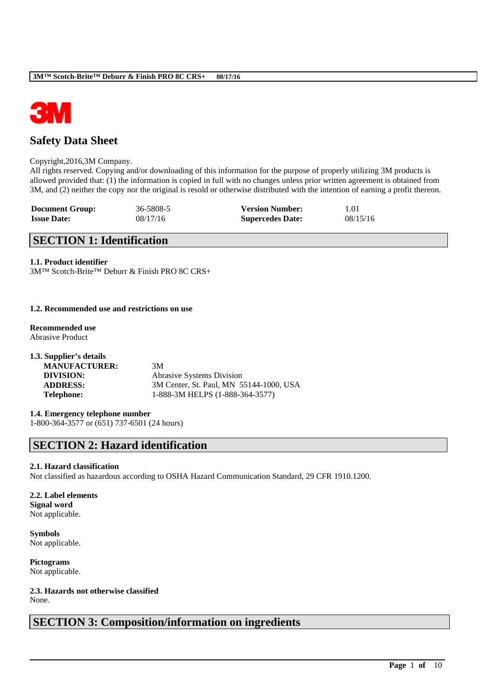

# **Safety Data Sheet**

### Copyright,2016,3M Company.

All rights reserved. Copying and/or downloading of this information for the purpose of properly utilizing 3M products is allowed provided that: (1) the information is copied in full with no changes unless prior written agreement is obtained from 3M, and (2) neither the copy nor the original is resold or otherwise distributed with the intention of earning a profit thereon.

| <b>Document Group:</b> | 36-5808-5 | <b>Version Number:</b>  | 1.01     |
|------------------------|-----------|-------------------------|----------|
| <b>Issue Date:</b>     | 08/17/16  | <b>Supercedes Date:</b> | 08/15/16 |

## **SECTION 1: Identification**

### **1.1. Product identifier**

3M™ Scotch-Brite™ Deburr & Finish PRO 8C CRS+

### **1.2. Recommended use and restrictions on use**

**Recommended use** Abrasive Product

| 1.3. Supplier's details |                                         |
|-------------------------|-----------------------------------------|
| <b>MANUFACTURER:</b>    | 3M                                      |
| DIVISION:               | <b>Abrasive Systems Division</b>        |
| <b>ADDRESS:</b>         | 3M Center, St. Paul, MN 55144-1000, USA |
| <b>Telephone:</b>       | 1-888-3M HELPS (1-888-364-3577)         |

# **1.4. Emergency telephone number**

1-800-364-3577 or (651) 737-6501 (24 hours)

# **SECTION 2: Hazard identification**

### **2.1. Hazard classification**

Not classified as hazardous according to OSHA Hazard Communication Standard, 29 CFR 1910.1200.

\_\_\_\_\_\_\_\_\_\_\_\_\_\_\_\_\_\_\_\_\_\_\_\_\_\_\_\_\_\_\_\_\_\_\_\_\_\_\_\_\_\_\_\_\_\_\_\_\_\_\_\_\_\_\_\_\_\_\_\_\_\_\_\_\_\_\_\_\_\_\_\_\_\_\_\_\_\_\_\_\_\_\_\_\_\_\_\_\_\_

### **2.2. Label elements Signal word** Not applicable.

**Symbols** Not applicable.

**Pictograms** Not applicable.

### **2.3. Hazards not otherwise classified** None.

# **SECTION 3: Composition/information on ingredients**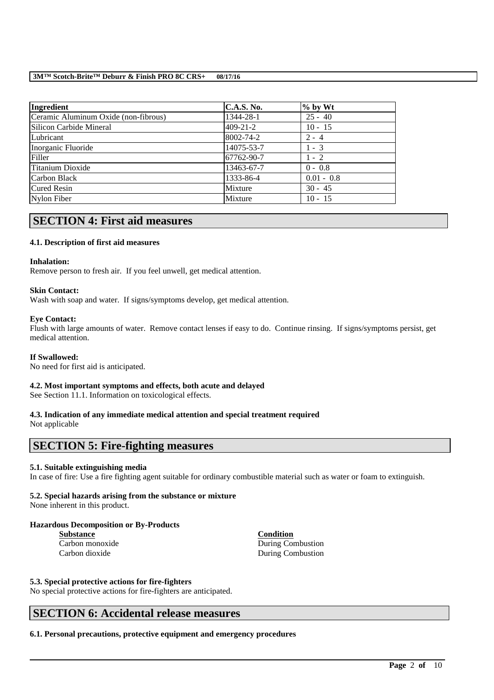| <b>Ingredient</b>                    | <b>C.A.S. No.</b> | $%$ by Wt    |
|--------------------------------------|-------------------|--------------|
| Ceramic Aluminum Oxide (non-fibrous) | 1344-28-1         | $25 - 40$    |
| Silicon Carbide Mineral              | $409 - 21 - 2$    | $10 - 15$    |
| Lubricant                            | 8002-74-2         | $2 - 4$      |
| Inorganic Fluoride                   | 14075-53-7        | $1 - 3$      |
| Filler                               | 67762-90-7        | $1 - 2$      |
| Titanium Dioxide                     | 13463-67-7        | $0 - 0.8$    |
| Carbon Black                         | 1333-86-4         | $0.01 - 0.8$ |
| <b>Cured Resin</b>                   | Mixture           | $30 - 45$    |
| Nylon Fiber                          | Mixture           | $10 - 15$    |

# **SECTION 4: First aid measures**

## **4.1. Description of first aid measures**

### **Inhalation:**

Remove person to fresh air. If you feel unwell, get medical attention.

### **Skin Contact:**

Wash with soap and water. If signs/symptoms develop, get medical attention.

### **Eye Contact:**

Flush with large amounts of water. Remove contact lenses if easy to do. Continue rinsing. If signs/symptoms persist, get medical attention.

## **If Swallowed:**

No need for first aid is anticipated.

## **4.2. Most important symptoms and effects, both acute and delayed**

See Section 11.1. Information on toxicological effects.

### **4.3. Indication of any immediate medical attention and special treatment required** Not applicable

## **SECTION 5: Fire-fighting measures**

## **5.1. Suitable extinguishing media**

In case of fire: Use a fire fighting agent suitable for ordinary combustible material such as water or foam to extinguish.

\_\_\_\_\_\_\_\_\_\_\_\_\_\_\_\_\_\_\_\_\_\_\_\_\_\_\_\_\_\_\_\_\_\_\_\_\_\_\_\_\_\_\_\_\_\_\_\_\_\_\_\_\_\_\_\_\_\_\_\_\_\_\_\_\_\_\_\_\_\_\_\_\_\_\_\_\_\_\_\_\_\_\_\_\_\_\_\_\_\_

## **5.2. Special hazards arising from the substance or mixture**

None inherent in this product.

## **Hazardous Decomposition or By-Products**

**Substance Condition**

Carbon monoxide During Combustion Carbon dioxide During Combustion

## **5.3. Special protective actions for fire-fighters**

No special protective actions for fire-fighters are anticipated.

## **SECTION 6: Accidental release measures**

**6.1. Personal precautions, protective equipment and emergency procedures**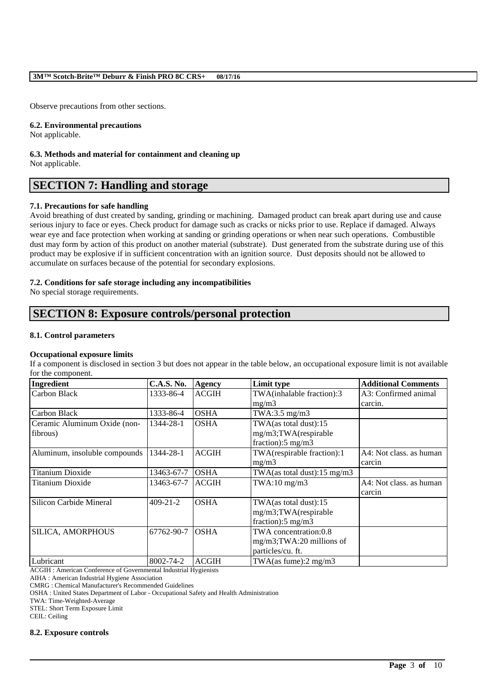Observe precautions from other sections.

### **6.2. Environmental precautions**

Not applicable.

**6.3. Methods and material for containment and cleaning up** Not applicable.

# **SECTION 7: Handling and storage**

### **7.1. Precautions for safe handling**

Avoid breathing of dust created by sanding, grinding or machining. Damaged product can break apart during use and cause serious injury to face or eyes. Check product for damage such as cracks or nicks prior to use. Replace if damaged. Always wear eye and face protection when working at sanding or grinding operations or when near such operations. Combustible dust may form by action of this product on another material (substrate). Dust generated from the substrate during use of this product may be explosive if in sufficient concentration with an ignition source. Dust deposits should not be allowed to accumulate on surfaces because of the potential for secondary explosions.

### **7.2. Conditions for safe storage including any incompatibilities**

No special storage requirements.

# **SECTION 8: Exposure controls/personal protection**

### **8.1. Control parameters**

### **Occupational exposure limits**

If a component is disclosed in section 3 but does not appear in the table below, an occupational exposure limit is not available for the component.

| Ingredient                    | <b>C.A.S. No.</b> | <b>Agency</b> | Limit type                              | <b>Additional Comments</b> |
|-------------------------------|-------------------|---------------|-----------------------------------------|----------------------------|
| Carbon Black                  | 1333-86-4         | <b>ACGIH</b>  | TWA(inhalable fraction):3               | A3: Confirmed animal       |
|                               |                   |               | mg/m3                                   | carcin.                    |
| Carbon Black                  | 1333-86-4         | <b>OSHA</b>   | TWA:3.5 $mg/m3$                         |                            |
| Ceramic Aluminum Oxide (non-  | 1344-28-1         | <b>OSHA</b>   | TWA(as total dust):15                   |                            |
| fibrous)                      |                   |               | mg/m3;TWA(respirable                    |                            |
|                               |                   |               | fraction): $5 \text{ mg/m}$ 3           |                            |
| Aluminum, insoluble compounds | 1344-28-1         | <b>ACGIH</b>  | TWA(respirable fraction):1              | A4: Not class, as human    |
|                               |                   |               | mg/m3                                   | carcin                     |
| Titanium Dioxide              | 13463-67-7        | <b>OSHA</b>   | TWA(as total dust): $15 \text{ mg/m}$ 3 |                            |
| Titanium Dioxide              | 13463-67-7        | <b>ACGIH</b>  | $TWA:10$ mg/m $3$                       | A4: Not class, as human    |
|                               |                   |               |                                         | carcin                     |
| Silicon Carbide Mineral       | $409 - 21 - 2$    | <b>OSHA</b>   | TWA(as total dust):15                   |                            |
|                               |                   |               | mg/m3;TWA(respirable                    |                            |
|                               |                   |               | fraction): $5 \text{ mg/m}$ 3           |                            |
| <b>SILICA, AMORPHOUS</b>      | 67762-90-7        | <b>OSHA</b>   | TWA concentration:0.8                   |                            |
|                               |                   |               | $mg/m3$ ; TWA: 20 millions of           |                            |
|                               |                   |               | particles/cu. ft.                       |                            |
| Lubricant                     | 8002-74-2         | <b>ACGIH</b>  | TWA $(as\, fume): 2\, mg/m3$            |                            |

\_\_\_\_\_\_\_\_\_\_\_\_\_\_\_\_\_\_\_\_\_\_\_\_\_\_\_\_\_\_\_\_\_\_\_\_\_\_\_\_\_\_\_\_\_\_\_\_\_\_\_\_\_\_\_\_\_\_\_\_\_\_\_\_\_\_\_\_\_\_\_\_\_\_\_\_\_\_\_\_\_\_\_\_\_\_\_\_\_\_

ACGIH : American Conference of Governmental Industrial Hygienists

AIHA : American Industrial Hygiene Association

CMRG : Chemical Manufacturer's Recommended Guidelines

OSHA : United States Department of Labor - Occupational Safety and Health Administration

TWA: Time-Weighted-Average

STEL: Short Term Exposure Limit

CEIL: Ceiling

### **8.2. Exposure controls**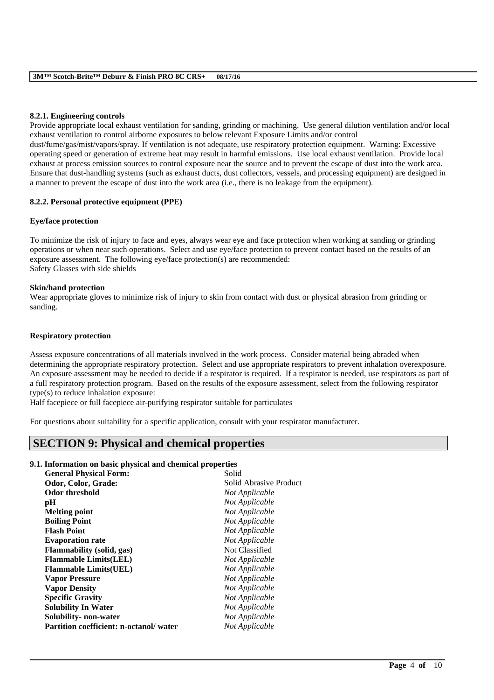### **8.2.1. Engineering controls**

Provide appropriate local exhaust ventilation for sanding, grinding or machining. Use general dilution ventilation and/or local exhaust ventilation to control airborne exposures to below relevant Exposure Limits and/or control dust/fume/gas/mist/vapors/spray. If ventilation is not adequate, use respiratory protection equipment. Warning: Excessive operating speed or generation of extreme heat may result in harmful emissions. Use local exhaust ventilation. Provide local exhaust at process emission sources to control exposure near the source and to prevent the escape of dust into the work area. Ensure that dust-handling systems (such as exhaust ducts, dust collectors, vessels, and processing equipment) are designed in a manner to prevent the escape of dust into the work area (i.e., there is no leakage from the equipment).

## **8.2.2. Personal protective equipment (PPE)**

### **Eye/face protection**

To minimize the risk of injury to face and eyes, always wear eye and face protection when working at sanding or grinding operations or when near such operations. Select and use eye/face protection to prevent contact based on the results of an exposure assessment. The following eye/face protection(s) are recommended: Safety Glasses with side shields

### **Skin/hand protection**

Wear appropriate gloves to minimize risk of injury to skin from contact with dust or physical abrasion from grinding or sanding.

### **Respiratory protection**

Assess exposure concentrations of all materials involved in the work process. Consider material being abraded when determining the appropriate respiratory protection. Select and use appropriate respirators to prevent inhalation overexposure. An exposure assessment may be needed to decide if a respirator is required. If a respirator is needed, use respirators as part of a full respiratory protection program. Based on the results of the exposure assessment, select from the following respirator type(s) to reduce inhalation exposure:

\_\_\_\_\_\_\_\_\_\_\_\_\_\_\_\_\_\_\_\_\_\_\_\_\_\_\_\_\_\_\_\_\_\_\_\_\_\_\_\_\_\_\_\_\_\_\_\_\_\_\_\_\_\_\_\_\_\_\_\_\_\_\_\_\_\_\_\_\_\_\_\_\_\_\_\_\_\_\_\_\_\_\_\_\_\_\_\_\_\_

Half facepiece or full facepiece air-purifying respirator suitable for particulates

For questions about suitability for a specific application, consult with your respirator manufacturer.

# **SECTION 9: Physical and chemical properties**

### **9.1. Information on basic physical and chemical properties**

| Solid Abrasive Product<br>Odor, Color, Grade:<br><b>Odor threshold</b><br>Not Applicable |
|------------------------------------------------------------------------------------------|
|                                                                                          |
|                                                                                          |
| Not Applicable<br>рH                                                                     |
| Not Applicable<br><b>Melting point</b>                                                   |
| <b>Boiling Point</b><br>Not Applicable                                                   |
| Not Applicable<br><b>Flash Point</b>                                                     |
| Not Applicable<br><b>Evaporation rate</b>                                                |
| Not Classified<br><b>Flammability</b> (solid, gas)                                       |
| <b>Flammable Limits(LEL)</b><br>Not Applicable                                           |
| Not Applicable<br><b>Flammable Limits (UEL)</b>                                          |
| Not Applicable<br><b>Vapor Pressure</b>                                                  |
| Not Applicable<br><b>Vapor Density</b>                                                   |
| <b>Specific Gravity</b><br>Not Applicable                                                |
| <b>Solubility In Water</b><br>Not Applicable                                             |
| Not Applicable<br>Solubility- non-water                                                  |
| Partition coefficient: n-octanol/water<br>Not Applicable                                 |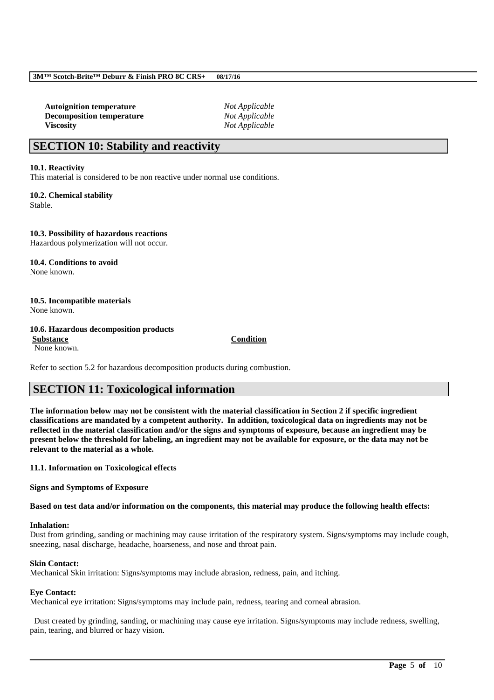**Autoignition temperature** *Not Applicable* **Decomposition temperature** *Not Applicable* **Viscosity** *Not Applicable*

# **SECTION 10: Stability and reactivity**

### **10.1. Reactivity**

This material is considered to be non reactive under normal use conditions.

**10.2. Chemical stability** Stable.

**10.3. Possibility of hazardous reactions** Hazardous polymerization will not occur.

**10.4. Conditions to avoid** None known.

## **10.5. Incompatible materials**

None known.

### **10.6. Hazardous decomposition products**

**Substance Condition** None known.

Refer to section 5.2 for hazardous decomposition products during combustion.

# **SECTION 11: Toxicological information**

**The information below may not be consistent with the material classification in Section 2 if specific ingredient classifications are mandated by a competent authority. In addition, toxicological data on ingredients may not be reflected in the material classification and/or the signs and symptoms of exposure, because an ingredient may be present below the threshold for labeling, an ingredient may not be available for exposure, or the data may not be relevant to the material as a whole.**

**11.1. Information on Toxicological effects**

**Signs and Symptoms of Exposure**

**Based on test data and/or information on the components, this material may produce the following health effects:**

### **Inhalation:**

Dust from grinding, sanding or machining may cause irritation of the respiratory system. Signs/symptoms may include cough, sneezing, nasal discharge, headache, hoarseness, and nose and throat pain.

### **Skin Contact:**

Mechanical Skin irritation: Signs/symptoms may include abrasion, redness, pain, and itching.

### **Eye Contact:**

Mechanical eye irritation: Signs/symptoms may include pain, redness, tearing and corneal abrasion.

Dust created by grinding, sanding, or machining may cause eye irritation. Signs/symptoms may include redness, swelling, pain, tearing, and blurred or hazy vision.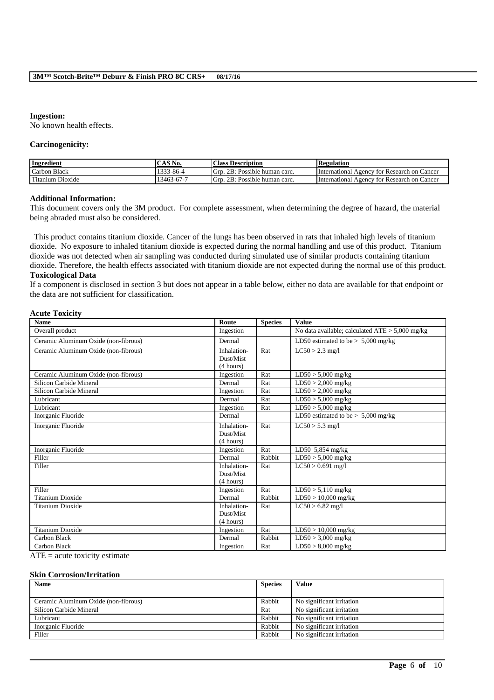#### **Ingestion:**

No known health effects.

#### **Carcinogenicity:**

| Ingredient       | $\mathcal{S}$ No.  | <b>Class Description</b>            | <b>Regulation</b>                              |
|------------------|--------------------|-------------------------------------|------------------------------------------------|
| Carbon Black     | 1222<br>–33-86-4   | Possible human carc.<br>2B:<br>Gro  | International Agency for Research on Cancer    |
| Titanium Dioxide | $3463 -$<br>3-67-1 | Possible human carc.<br>-Grr<br>2B: | International Agency<br>tor Research on Cancer |

### **Additional Information:**

This document covers only the 3M product. For complete assessment, when determining the degree of hazard, the material being abraded must also be considered.

This product contains titanium dioxide. Cancer of the lungs has been observed in rats that inhaled high levels of titanium dioxide. No exposure to inhaled titanium dioxide is expected during the normal handling and use of this product. Titanium dioxide was not detected when air sampling was conducted during simulated use of similar products containing titanium dioxide. Therefore, the health effects associated with titanium dioxide are not expected during the normal use of this product. **Toxicological Data**

If a component is disclosed in section 3 but does not appear in a table below, either no data are available for that endpoint or the data are not sufficient for classification.

### **Acute Toxicity**

| <b>Name</b>                             | Route                                 | <b>Species</b> | <b>Value</b>                                      |
|-----------------------------------------|---------------------------------------|----------------|---------------------------------------------------|
| Overall product                         | Ingestion                             |                | No data available; calculated $ATE > 5,000$ mg/kg |
| Ceramic Aluminum Oxide (non-fibrous)    | Dermal                                |                | LD50 estimated to be $> 5,000$ mg/kg              |
| Ceramic Aluminum Oxide (non-fibrous)    | Inhalation-<br>Dust/Mist<br>(4 hours) | Rat            | $LC50 > 2.3$ mg/l                                 |
| Ceramic Aluminum Oxide (non-fibrous)    | Ingestion                             | Rat            | $LD50 > 5,000$ mg/kg                              |
| Silicon Carbide Mineral                 | Dermal                                | Rat            | $LD50 > 2,000$ mg/kg                              |
| Silicon Carbide Mineral                 | Ingestion                             | Rat            | $LD50 > 2,000$ mg/kg                              |
| Lubricant                               | Dermal                                | Rat            | $LD50 > 5,000$ mg/kg                              |
| Lubricant                               | Ingestion                             | Rat            | $LD50 > 5,000$ mg/kg                              |
| Inorganic Fluoride                      | Dermal                                |                | LD50 estimated to be $> 5,000$ mg/kg              |
| Inorganic Fluoride                      | Inhalation-<br>Dust/Mist<br>(4 hours) | Rat            | $LC50 > 5.3$ mg/l                                 |
| Inorganic Fluoride                      | Ingestion                             | Rat            | LD50 $5,854$ mg/kg                                |
| Filler                                  | Dermal                                | Rabbit         | $LD50 > 5,000$ mg/kg                              |
| Filler                                  | Inhalation-<br>Dust/Mist<br>(4 hours) | Rat            | $LC50 > 0.691$ mg/l                               |
| Filler                                  | Ingestion                             | Rat            | $LD50 > 5,110$ mg/kg                              |
| <b>Titanium Dioxide</b>                 | Dermal                                | Rabbit         | $LD50 > 10,000$ mg/kg                             |
| <b>Titanium Dioxide</b>                 | Inhalation-<br>Dust/Mist<br>(4 hours) | Rat            | $LC50 > 6.82$ mg/l                                |
| <b>Titanium Dioxide</b>                 | Ingestion                             | Rat            | $LD50 > 10,000$ mg/kg                             |
| Carbon Black                            | Dermal                                | Rabbit         | $LD50 > 3,000$ mg/kg                              |
| Carbon Black<br>$\cdot$ $\cdot$ $\cdot$ | Ingestion                             | Rat            | $LD50 > 8,000$ mg/kg                              |

 $ATE = acute$  toxicity estimate

#### **Skin Corrosion/Irritation**

| <b>Name</b>                          | <b>Species</b> | <b>Value</b>              |
|--------------------------------------|----------------|---------------------------|
|                                      |                |                           |
| Ceramic Aluminum Oxide (non-fibrous) | Rabbit         | No significant irritation |
| Silicon Carbide Mineral              | Rat            | No significant irritation |
| Lubricant                            | Rabbit         | No significant irritation |
| Inorganic Fluoride                   | Rabbit         | No significant irritation |
| Filler                               | Rabbit         | No significant irritation |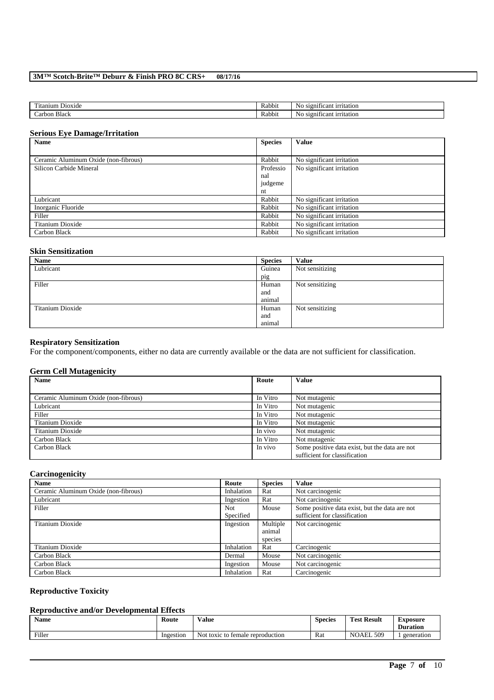| m.<br>D <sub>10X1</sub> de<br>itanium | <b>Rabbi</b> u | No<br>ırrıtatıon<br>cant<br><b>S12011</b> |
|---------------------------------------|----------------|-------------------------------------------|
| Black<br>arbon                        | <b>Rabbit</b>  | No<br>cant<br>ntation<br><b>S10111</b>    |

### **Serious Eye Damage/Irritation**

| <b>Name</b>                          | <b>Species</b> | <b>Value</b>              |
|--------------------------------------|----------------|---------------------------|
|                                      |                |                           |
| Ceramic Aluminum Oxide (non-fibrous) | Rabbit         | No significant irritation |
| Silicon Carbide Mineral              | Professio      | No significant irritation |
|                                      | nal            |                           |
|                                      | judgeme        |                           |
|                                      | nt             |                           |
| Lubricant                            | Rabbit         | No significant irritation |
| Inorganic Fluoride                   | Rabbit         | No significant irritation |
| Filler                               | Rabbit         | No significant irritation |
| Titanium Dioxide                     | Rabbit         | No significant irritation |
| Carbon Black                         | Rabbit         | No significant irritation |

## **Skin Sensitization**

| Name             | <b>Species</b> | <b>Value</b>    |
|------------------|----------------|-----------------|
| Lubricant        | Guinea         | Not sensitizing |
|                  | pig            |                 |
| Filler           | Human          | Not sensitizing |
|                  | and            |                 |
|                  | animal         |                 |
| Titanium Dioxide | Human          | Not sensitizing |
|                  | and            |                 |
|                  | animal         |                 |

### **Respiratory Sensitization**

For the component/components, either no data are currently available or the data are not sufficient for classification.

## **Germ Cell Mutagenicity**

| <b>Name</b>                          | Route    | Value                                          |
|--------------------------------------|----------|------------------------------------------------|
|                                      |          |                                                |
| Ceramic Aluminum Oxide (non-fibrous) | In Vitro | Not mutagenic                                  |
| Lubricant                            | In Vitro | Not mutagenic                                  |
| Filler                               | In Vitro | Not mutagenic                                  |
| Titanium Dioxide                     | In Vitro | Not mutagenic                                  |
| Titanium Dioxide                     | In vivo  | Not mutagenic                                  |
| Carbon Black                         | In Vitro | Not mutagenic                                  |
| Carbon Black                         | In vivo  | Some positive data exist, but the data are not |
|                                      |          | sufficient for classification                  |

## **Carcinogenicity**

| <b>Name</b>                          | Route      | <b>Species</b> | <b>Value</b>                                   |
|--------------------------------------|------------|----------------|------------------------------------------------|
| Ceramic Aluminum Oxide (non-fibrous) | Inhalation | Rat            | Not carcinogenic                               |
| Lubricant                            | Ingestion  | Rat            | Not carcinogenic                               |
| Filler                               | Not        | Mouse          | Some positive data exist, but the data are not |
|                                      | Specified  |                | sufficient for classification                  |
| Titanium Dioxide                     | Ingestion  | Multiple       | Not carcinogenic                               |
|                                      |            | animal         |                                                |
|                                      |            | species        |                                                |
| Titanium Dioxide                     | Inhalation | Rat            | Carcinogenic                                   |
| Carbon Black                         | Dermal     | Mouse          | Not carcinogenic                               |
| Carbon Black                         | Ingestion  | Mouse          | Not carcinogenic                               |
| Carbon Black                         | Inhalation | Rat            | Carcinogenic                                   |

## **Reproductive Toxicity**

## **Reproductive and/or Developmental Effects**

| $\mathbf{r}$<br>Name | Route     | <b>Value</b>                            | $\sim$<br><b>Species</b> | Test.<br><b>Result</b> | Exposure<br><b>Duration</b> |
|----------------------|-----------|-----------------------------------------|--------------------------|------------------------|-----------------------------|
| Filler               | Ingestion | Not.<br>toxic to<br>temale reproduction | Rat                      | 509<br>NOAEI.          | generation                  |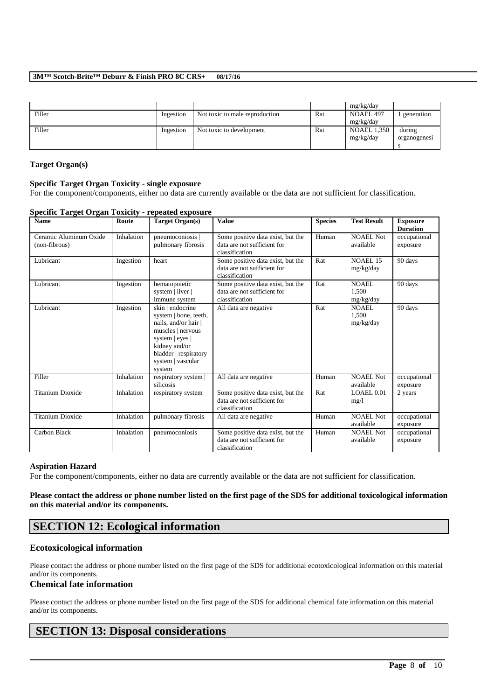|        |           |                                |     | mg/kg/day          |              |
|--------|-----------|--------------------------------|-----|--------------------|--------------|
| Filler | Ingestion | Not toxic to male reproduction | Rat | NOAEL 497          | generation   |
|        |           |                                |     | mg/kg/day          |              |
| Filler | Ingestion | Not toxic to development       | Rat | <b>NOAEL 1,350</b> | during       |
|        |           |                                |     | mg/kg/day          | organogenesi |
|        |           |                                |     |                    |              |

### **Target Organ(s)**

### **Specific Target Organ Toxicity - single exposure**

For the component/components, either no data are currently available or the data are not sufficient for classification.

| <b>Name</b>                             | Route      | Target Organ(s)                                                                                                                                                                  | <b>Value</b>                                                                       | <b>Species</b> | <b>Test Result</b>                 | <b>Exposure</b><br><b>Duration</b> |
|-----------------------------------------|------------|----------------------------------------------------------------------------------------------------------------------------------------------------------------------------------|------------------------------------------------------------------------------------|----------------|------------------------------------|------------------------------------|
| Ceramic Aluminum Oxide<br>(non-fibrous) | Inhalation | pneumoconiosis  <br>pulmonary fibrosis                                                                                                                                           | Some positive data exist, but the<br>data are not sufficient for<br>classification | Human          | <b>NOAEL Not</b><br>available      | occupational<br>exposure           |
| Lubricant                               | Ingestion  | heart                                                                                                                                                                            | Some positive data exist, but the<br>data are not sufficient for<br>classification | Rat            | NOAEL 15<br>mg/kg/day              | 90 days                            |
| Lubricant                               | Ingestion  | hematopoietic<br>system   liver  <br>immune system                                                                                                                               | Some positive data exist, but the<br>data are not sufficient for<br>classification | Rat            | <b>NOAEL</b><br>1.500<br>mg/kg/day | 90 days                            |
| Lubricant                               | Ingestion  | skin   endocrine<br>system   bone, teeth,<br>nails, and/or hair<br>muscles   nervous<br>system   eyes  <br>kidney and/or<br>bladder   respiratory<br>system   vascular<br>system | All data are negative                                                              | Rat            | <b>NOAEL</b><br>1,500<br>mg/kg/day | 90 days                            |
| Filler                                  | Inhalation | respiratory system  <br>silicosis                                                                                                                                                | All data are negative                                                              | Human          | <b>NOAEL Not</b><br>available      | occupational<br>exposure           |
| <b>Titanium Dioxide</b>                 | Inhalation | respiratory system                                                                                                                                                               | Some positive data exist, but the<br>data are not sufficient for<br>classification | Rat            | LOAEL 0.01<br>mg/l                 | 2 years                            |
| <b>Titanium Dioxide</b>                 | Inhalation | pulmonary fibrosis                                                                                                                                                               | All data are negative                                                              | Human          | <b>NOAEL Not</b><br>available      | occupational<br>exposure           |
| Carbon Black                            | Inhalation | pneumoconiosis                                                                                                                                                                   | Some positive data exist, but the<br>data are not sufficient for<br>classification | Human          | <b>NOAEL Not</b><br>available      | occupational<br>exposure           |

### **Specific Target Organ Toxicity - repeated exposure**

### **Aspiration Hazard**

For the component/components, either no data are currently available or the data are not sufficient for classification.

**Please contact the address or phone number listed on the first page of the SDS for additional toxicological information on this material and/or its components.**

# **SECTION 12: Ecological information**

## **Ecotoxicological information**

Please contact the address or phone number listed on the first page of the SDS for additional ecotoxicological information on this material and/or its components.

### **Chemical fate information**

Please contact the address or phone number listed on the first page of the SDS for additional chemical fate information on this material and/or its components.

\_\_\_\_\_\_\_\_\_\_\_\_\_\_\_\_\_\_\_\_\_\_\_\_\_\_\_\_\_\_\_\_\_\_\_\_\_\_\_\_\_\_\_\_\_\_\_\_\_\_\_\_\_\_\_\_\_\_\_\_\_\_\_\_\_\_\_\_\_\_\_\_\_\_\_\_\_\_\_\_\_\_\_\_\_\_\_\_\_\_

# **SECTION 13: Disposal considerations**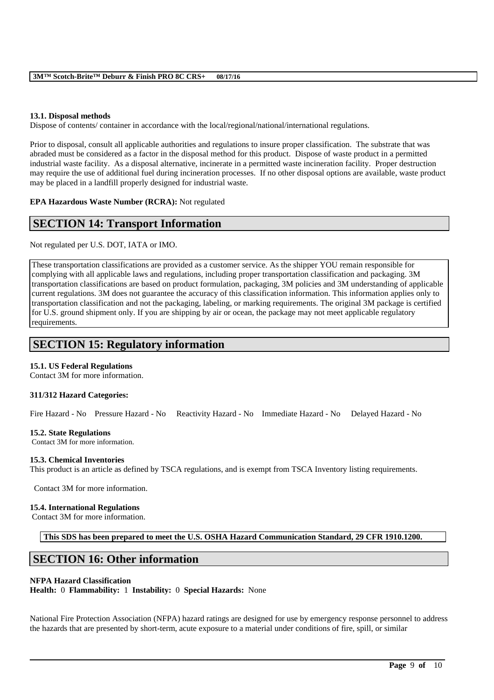## **13.1. Disposal methods**

Dispose of contents/ container in accordance with the local/regional/national/international regulations.

Prior to disposal, consult all applicable authorities and regulations to insure proper classification. The substrate that was abraded must be considered as a factor in the disposal method for this product. Dispose of waste product in a permitted industrial waste facility. As a disposal alternative, incinerate in a permitted waste incineration facility. Proper destruction may require the use of additional fuel during incineration processes. If no other disposal options are available, waste product may be placed in a landfill properly designed for industrial waste.

**EPA Hazardous Waste Number (RCRA):** Not regulated

# **SECTION 14: Transport Information**

Not regulated per U.S. DOT, IATA or IMO.

These transportation classifications are provided as a customer service. As the shipper YOU remain responsible for complying with all applicable laws and regulations, including proper transportation classification and packaging. 3M transportation classifications are based on product formulation, packaging, 3M policies and 3M understanding of applicable current regulations. 3M does not guarantee the accuracy of this classification information. This information applies only to transportation classification and not the packaging, labeling, or marking requirements. The original 3M package is certified for U.S. ground shipment only. If you are shipping by air or ocean, the package may not meet applicable regulatory requirements.

# **SECTION 15: Regulatory information**

## **15.1. US Federal Regulations**

Contact 3M for more information.

## **311/312 Hazard Categories:**

Fire Hazard - No Pressure Hazard - No Reactivity Hazard - No Immediate Hazard - No Delayed Hazard - No

## **15.2. State Regulations**

Contact 3M for more information.

## **15.3. Chemical Inventories**

This product is an article as defined by TSCA regulations, and is exempt from TSCA Inventory listing requirements.

Contact 3M for more information.

### **15.4. International Regulations**

Contact 3M for more information.

**This SDS has been prepared to meet the U.S. OSHA Hazard Communication Standard, 29 CFR 1910.1200.**

# **SECTION 16: Other information**

## **NFPA Hazard Classification**

**Health:** 0 **Flammability:** 1 **Instability:** 0 **Special Hazards:** None

National Fire Protection Association (NFPA) hazard ratings are designed for use by emergency response personnel to address the hazards that are presented by short-term, acute exposure to a material under conditions of fire, spill, or similar